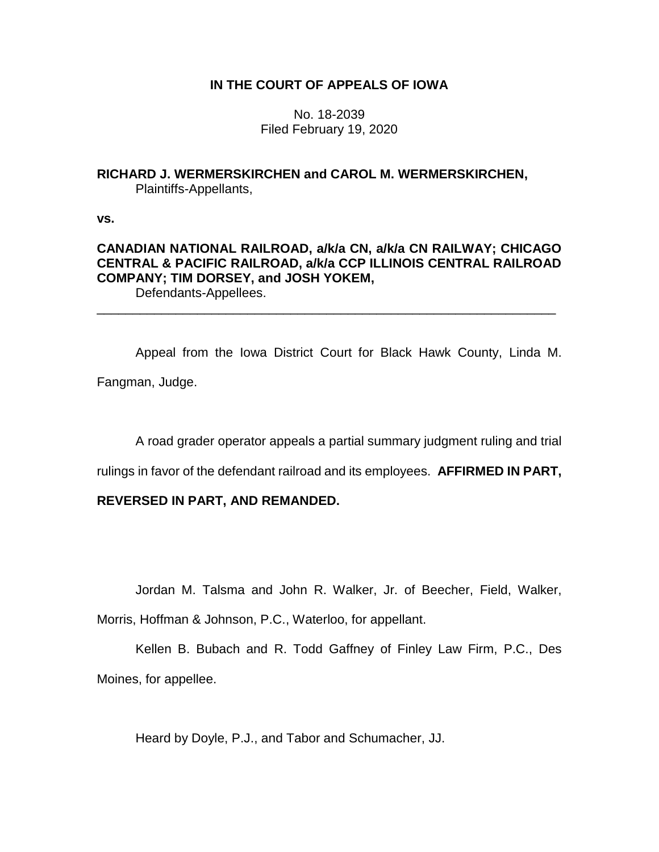# **IN THE COURT OF APPEALS OF IOWA**

No. 18-2039 Filed February 19, 2020

# **RICHARD J. WERMERSKIRCHEN and CAROL M. WERMERSKIRCHEN,** Plaintiffs-Appellants,

**vs.**

# **CANADIAN NATIONAL RAILROAD, a/k/a CN, a/k/a CN RAILWAY; CHICAGO CENTRAL & PACIFIC RAILROAD, a/k/a CCP ILLINOIS CENTRAL RAILROAD COMPANY; TIM DORSEY, and JOSH YOKEM,**

\_\_\_\_\_\_\_\_\_\_\_\_\_\_\_\_\_\_\_\_\_\_\_\_\_\_\_\_\_\_\_\_\_\_\_\_\_\_\_\_\_\_\_\_\_\_\_\_\_\_\_\_\_\_\_\_\_\_\_\_\_\_\_\_

Defendants-Appellees.

Appeal from the Iowa District Court for Black Hawk County, Linda M. Fangman, Judge.

A road grader operator appeals a partial summary judgment ruling and trial

rulings in favor of the defendant railroad and its employees. **AFFIRMED IN PART,** 

# **REVERSED IN PART, AND REMANDED.**

Jordan M. Talsma and John R. Walker, Jr. of Beecher, Field, Walker,

Morris, Hoffman & Johnson, P.C., Waterloo, for appellant.

Kellen B. Bubach and R. Todd Gaffney of Finley Law Firm, P.C., Des Moines, for appellee.

Heard by Doyle, P.J., and Tabor and Schumacher, JJ.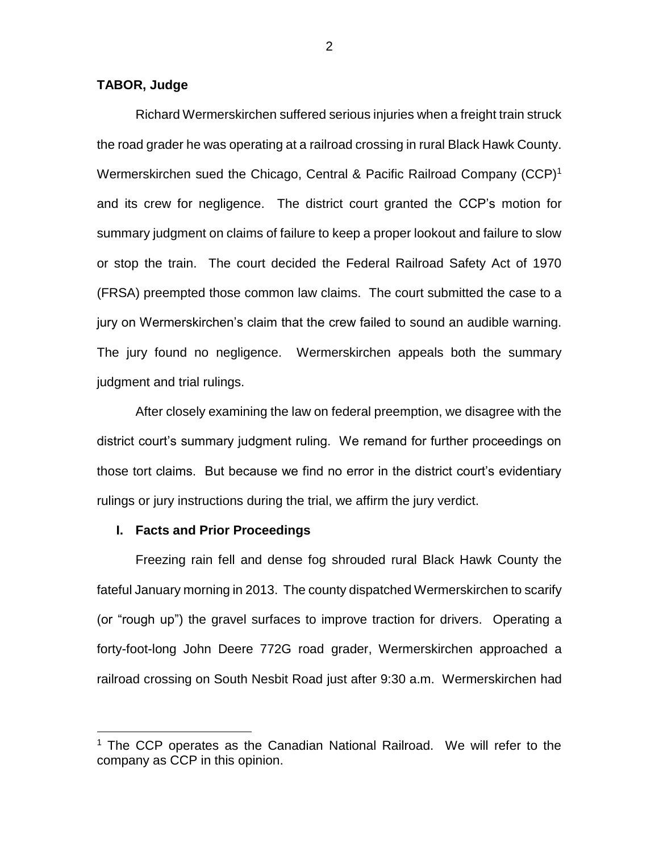### **TABOR, Judge**

Richard Wermerskirchen suffered serious injuries when a freight train struck the road grader he was operating at a railroad crossing in rural Black Hawk County. Wermerskirchen sued the Chicago, Central & Pacific Railroad Company (CCP)<sup>1</sup> and its crew for negligence. The district court granted the CCP's motion for summary judgment on claims of failure to keep a proper lookout and failure to slow or stop the train. The court decided the Federal Railroad Safety Act of 1970 (FRSA) preempted those common law claims. The court submitted the case to a jury on Wermerskirchen's claim that the crew failed to sound an audible warning. The jury found no negligence. Wermerskirchen appeals both the summary judgment and trial rulings.

After closely examining the law on federal preemption, we disagree with the district court's summary judgment ruling. We remand for further proceedings on those tort claims. But because we find no error in the district court's evidentiary rulings or jury instructions during the trial, we affirm the jury verdict.

#### **I. Facts and Prior Proceedings**

 $\overline{a}$ 

Freezing rain fell and dense fog shrouded rural Black Hawk County the fateful January morning in 2013. The county dispatched Wermerskirchen to scarify (or "rough up") the gravel surfaces to improve traction for drivers. Operating a forty-foot-long John Deere 772G road grader, Wermerskirchen approached a railroad crossing on South Nesbit Road just after 9:30 a.m. Wermerskirchen had

<sup>&</sup>lt;sup>1</sup> The CCP operates as the Canadian National Railroad. We will refer to the company as CCP in this opinion.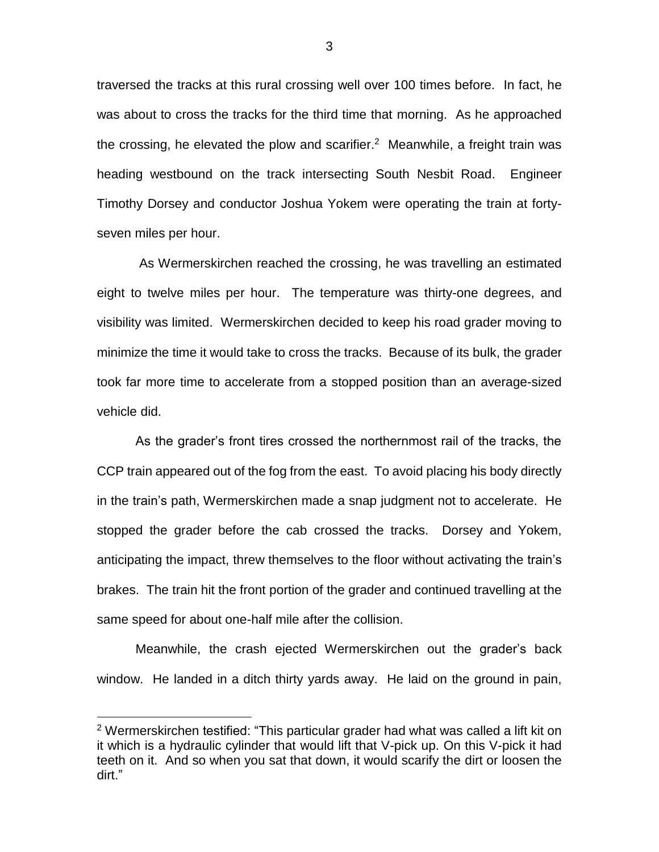traversed the tracks at this rural crossing well over 100 times before. In fact, he was about to cross the tracks for the third time that morning. As he approached the crossing, he elevated the plow and scarifier.<sup>2</sup> Meanwhile, a freight train was heading westbound on the track intersecting South Nesbit Road. Engineer Timothy Dorsey and conductor Joshua Yokem were operating the train at fortyseven miles per hour.

As Wermerskirchen reached the crossing, he was travelling an estimated eight to twelve miles per hour. The temperature was thirty-one degrees, and visibility was limited. Wermerskirchen decided to keep his road grader moving to minimize the time it would take to cross the tracks. Because of its bulk, the grader took far more time to accelerate from a stopped position than an average-sized vehicle did.

As the grader's front tires crossed the northernmost rail of the tracks, the CCP train appeared out of the fog from the east. To avoid placing his body directly in the train's path, Wermerskirchen made a snap judgment not to accelerate. He stopped the grader before the cab crossed the tracks. Dorsey and Yokem, anticipating the impact, threw themselves to the floor without activating the train's brakes. The train hit the front portion of the grader and continued travelling at the same speed for about one-half mile after the collision.

Meanwhile, the crash ejected Wermerskirchen out the grader's back window. He landed in a ditch thirty yards away. He laid on the ground in pain,

 $\overline{a}$ 

<sup>&</sup>lt;sup>2</sup> Wermerskirchen testified: "This particular grader had what was called a lift kit on it which is a hydraulic cylinder that would lift that V-pick up. On this V-pick it had teeth on it. And so when you sat that down, it would scarify the dirt or loosen the dirt."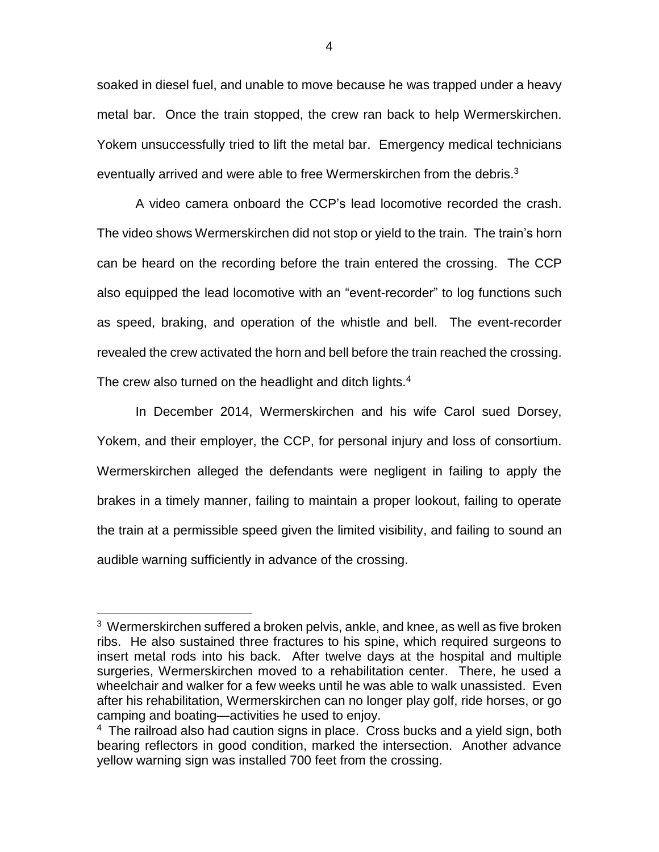soaked in diesel fuel, and unable to move because he was trapped under a heavy metal bar. Once the train stopped, the crew ran back to help Wermerskirchen. Yokem unsuccessfully tried to lift the metal bar. Emergency medical technicians eventually arrived and were able to free Wermerskirchen from the debris.<sup>3</sup>

A video camera onboard the CCP's lead locomotive recorded the crash. The video shows Wermerskirchen did not stop or yield to the train. The train's horn can be heard on the recording before the train entered the crossing. The CCP also equipped the lead locomotive with an "event-recorder" to log functions such as speed, braking, and operation of the whistle and bell. The event-recorder revealed the crew activated the horn and bell before the train reached the crossing. The crew also turned on the headlight and ditch lights. $4$ 

In December 2014, Wermerskirchen and his wife Carol sued Dorsey, Yokem, and their employer, the CCP, for personal injury and loss of consortium. Wermerskirchen alleged the defendants were negligent in failing to apply the brakes in a timely manner, failing to maintain a proper lookout, failing to operate the train at a permissible speed given the limited visibility, and failing to sound an audible warning sufficiently in advance of the crossing.

 $\overline{a}$ 

<sup>&</sup>lt;sup>3</sup> Wermerskirchen suffered a broken pelvis, ankle, and knee, as well as five broken ribs. He also sustained three fractures to his spine, which required surgeons to insert metal rods into his back. After twelve days at the hospital and multiple surgeries, Wermerskirchen moved to a rehabilitation center. There, he used a wheelchair and walker for a few weeks until he was able to walk unassisted. Even after his rehabilitation, Wermerskirchen can no longer play golf, ride horses, or go camping and boating—activities he used to enjoy.

<sup>&</sup>lt;sup>4</sup> The railroad also had caution signs in place. Cross bucks and a yield sign, both bearing reflectors in good condition, marked the intersection. Another advance yellow warning sign was installed 700 feet from the crossing.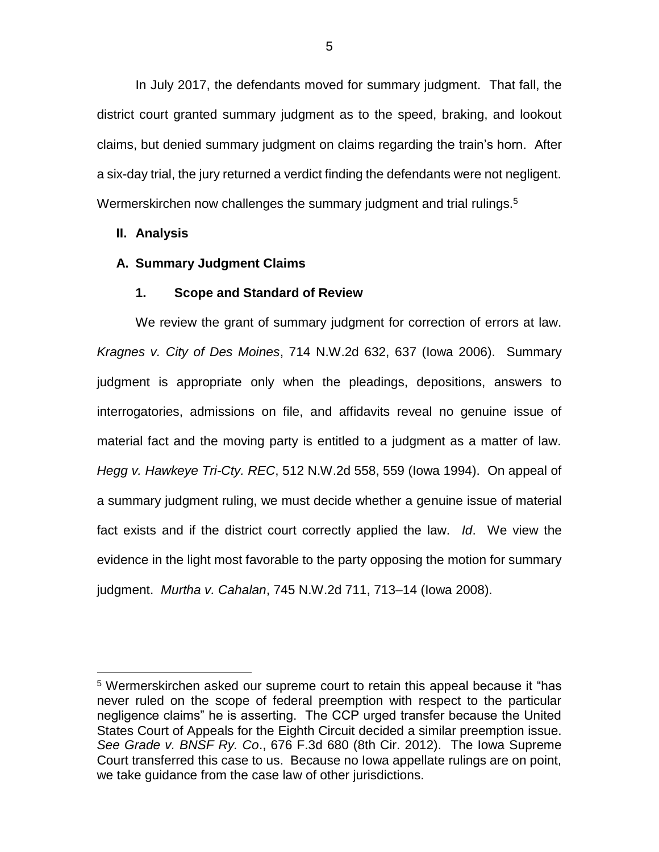In July 2017, the defendants moved for summary judgment. That fall, the district court granted summary judgment as to the speed, braking, and lookout claims, but denied summary judgment on claims regarding the train's horn. After a six-day trial, the jury returned a verdict finding the defendants were not negligent. Wermerskirchen now challenges the summary judgment and trial rulings.<sup>5</sup>

### **II. Analysis**

 $\overline{a}$ 

### **A. Summary Judgment Claims**

### **1. Scope and Standard of Review**

We review the grant of summary judgment for correction of errors at law. *Kragnes v. City of Des Moines*, 714 N.W.2d 632, 637 (Iowa 2006). Summary judgment is appropriate only when the pleadings, depositions, answers to interrogatories, admissions on file, and affidavits reveal no genuine issue of material fact and the moving party is entitled to a judgment as a matter of law. *Hegg v. Hawkeye Tri-Cty. REC*, 512 N.W.2d 558, 559 (Iowa 1994). On appeal of a summary judgment ruling, we must decide whether a genuine issue of material fact exists and if the district court correctly applied the law. *Id*. We view the evidence in the light most favorable to the party opposing the motion for summary judgment. *Murtha v. Cahalan*, 745 N.W.2d 711, 713–14 (Iowa 2008).

<sup>&</sup>lt;sup>5</sup> Wermerskirchen asked our supreme court to retain this appeal because it "has never ruled on the scope of federal preemption with respect to the particular negligence claims" he is asserting. The CCP urged transfer because the United States Court of Appeals for the Eighth Circuit decided a similar preemption issue. *See Grade v. BNSF Ry. Co*., 676 F.3d 680 (8th Cir. 2012). The Iowa Supreme Court transferred this case to us. Because no Iowa appellate rulings are on point, we take guidance from the case law of other jurisdictions.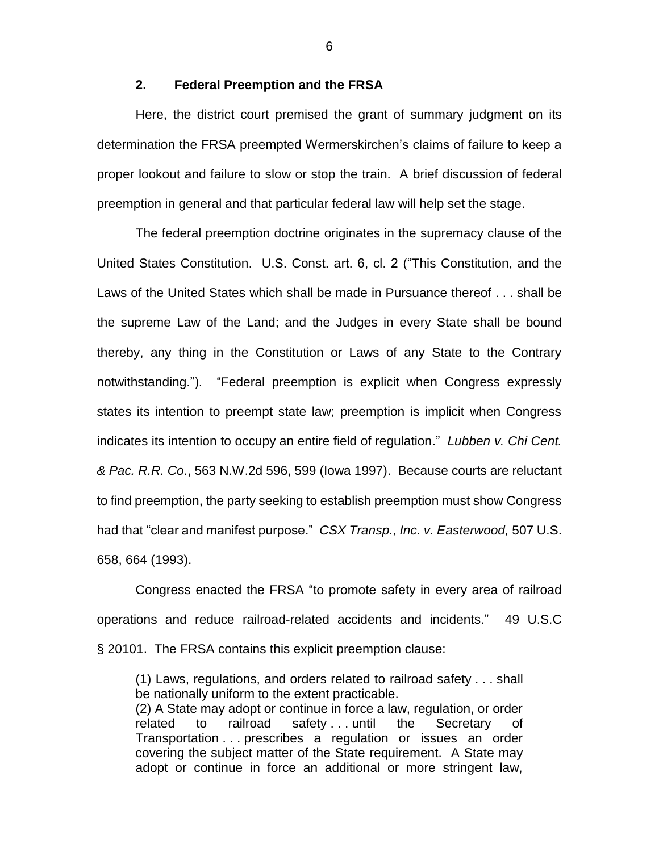### **2. Federal Preemption and the FRSA**

Here, the district court premised the grant of summary judgment on its determination the FRSA preempted Wermerskirchen's claims of failure to keep a proper lookout and failure to slow or stop the train. A brief discussion of federal preemption in general and that particular federal law will help set the stage.

The federal preemption doctrine originates in the supremacy clause of the United States Constitution. U.S. Const. art. 6, cl. 2 ("This Constitution, and the Laws of the United States which shall be made in Pursuance thereof . . . shall be the supreme Law of the Land; and the Judges in every State shall be bound thereby, any thing in the Constitution or Laws of any State to the Contrary notwithstanding."). "Federal preemption is explicit when Congress expressly states its intention to preempt state law; preemption is implicit when Congress indicates its intention to occupy an entire field of regulation." *Lubben v. Chi Cent. & Pac. R.R. Co*., 563 N.W.2d 596, 599 (Iowa 1997). Because courts are reluctant to find preemption, the party seeking to establish preemption must show Congress had that "clear and manifest purpose." *CSX Transp., Inc. v. Easterwood,* 507 U.S. 658, 664 (1993).

Congress enacted the FRSA "to promote safety in every area of railroad operations and reduce railroad-related accidents and incidents." 49 U.S.C § 20101. The FRSA contains this explicit preemption clause:

(1) Laws, regulations, and orders related to railroad safety . . . shall be nationally uniform to the extent practicable. (2) A State may adopt or continue in force a law, regulation, or order related to railroad safety ... until the Secretary of Transportation . . . prescribes a regulation or issues an order covering the subject matter of the State requirement. A State may adopt or continue in force an additional or more stringent law,

6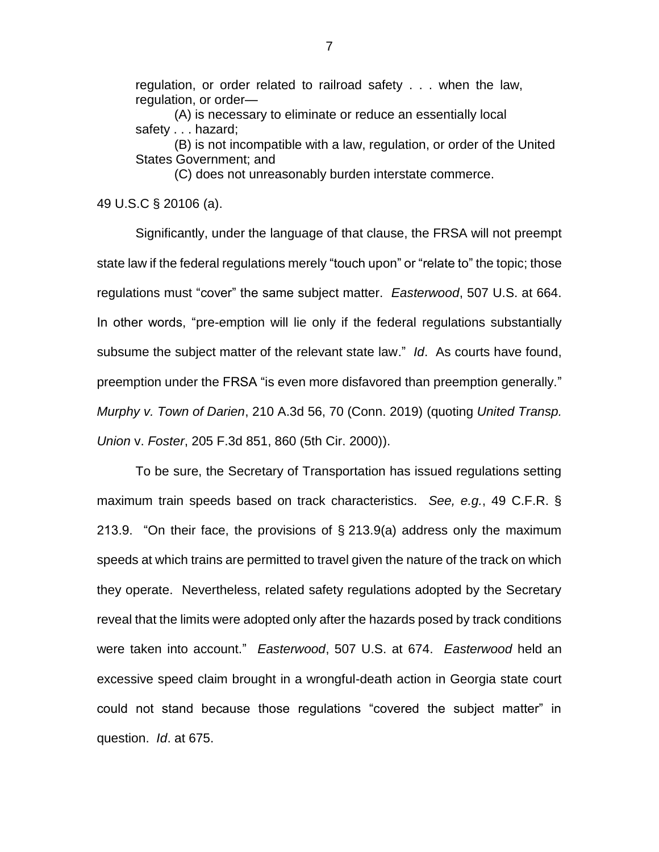regulation, or order related to railroad safety . . . when the law, regulation, or order—

(A) is necessary to eliminate or reduce an essentially local safety . . . hazard;

(B) is not incompatible with a law, regulation, or order of the United States Government; and

(C) does not unreasonably burden interstate commerce.

49 U.S.C § 20106 (a).

Significantly, under the language of that clause, the FRSA will not preempt state law if the federal regulations merely "touch upon" or "relate to" the topic; those regulations must "cover" the same subject matter. *Easterwood*, 507 U.S. at 664. In other words, "pre-emption will lie only if the federal regulations substantially subsume the subject matter of the relevant state law." *Id*. As courts have found, preemption under the FRSA "is even more disfavored than preemption generally." *Murphy v. Town of Darien*, 210 A.3d 56, 70 (Conn. 2019) (quoting *United Transp. Union* v. *Foster*, 205 F.3d 851, 860 (5th Cir. 2000)).

To be sure, the Secretary of Transportation has issued regulations setting maximum train speeds based on track characteristics. *See, e.g.*, 49 C.F.R. § 213.9. "On their face, the provisions of § 213.9(a) address only the maximum speeds at which trains are permitted to travel given the nature of the track on which they operate. Nevertheless, related safety regulations adopted by the Secretary reveal that the limits were adopted only after the hazards posed by track conditions were taken into account." *Easterwood*, 507 U.S. at 674. *Easterwood* held an excessive speed claim brought in a wrongful-death action in Georgia state court could not stand because those regulations "covered the subject matter" in question. *Id*. at 675.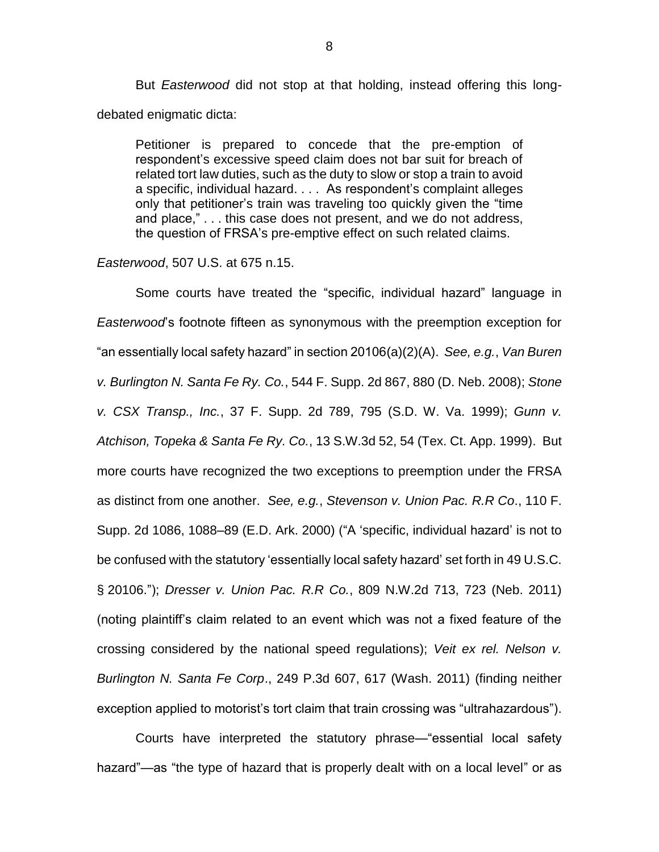But *Easterwood* did not stop at that holding, instead offering this longdebated enigmatic dicta:

Petitioner is prepared to concede that the pre-emption of respondent's excessive speed claim does not bar suit for breach of related tort law duties, such as the duty to slow or stop a train to avoid a specific, individual hazard. . . . As respondent's complaint alleges only that petitioner's train was traveling too quickly given the "time and place," . . . this case does not present, and we do not address, the question of FRSA's pre-emptive effect on such related claims.

#### *Easterwood*, 507 U.S. at 675 n.15.

Some courts have treated the "specific, individual hazard" language in *Easterwood*'s footnote fifteen as synonymous with the preemption exception for "an essentially local safety hazard" in section 20106(a)(2)(A). *See, e.g.*, *Van Buren v. Burlington N. Santa Fe Ry. Co.*, 544 F. Supp. 2d 867, 880 (D. Neb. 2008); *Stone v. CSX Transp., Inc.*, 37 F. Supp. 2d 789, 795 (S.D. W. Va. 1999); *Gunn v. Atchison, Topeka & Santa Fe Ry. Co.*, 13 S.W.3d 52, 54 (Tex. Ct. App. 1999). But more courts have recognized the two exceptions to preemption under the FRSA as distinct from one another. *See, e.g.*, *Stevenson v. Union Pac. R.R Co*., 110 F. Supp. 2d 1086, 1088–89 (E.D. Ark. 2000) ("A 'specific, individual hazard' is not to be confused with the statutory 'essentially local safety hazard' set forth in 49 U.S.C. § 20106."); *Dresser v. Union Pac. R.R Co.*, 809 N.W.2d 713, 723 (Neb. 2011) (noting plaintiff's claim related to an event which was not a fixed feature of the crossing considered by the national speed regulations); *Veit ex rel. Nelson v. Burlington N. Santa Fe Corp*., 249 P.3d 607, 617 (Wash. 2011) (finding neither exception applied to motorist's tort claim that train crossing was "ultrahazardous").

Courts have interpreted the statutory phrase—"essential local safety hazard"—as "the type of hazard that is properly dealt with on a local level" or as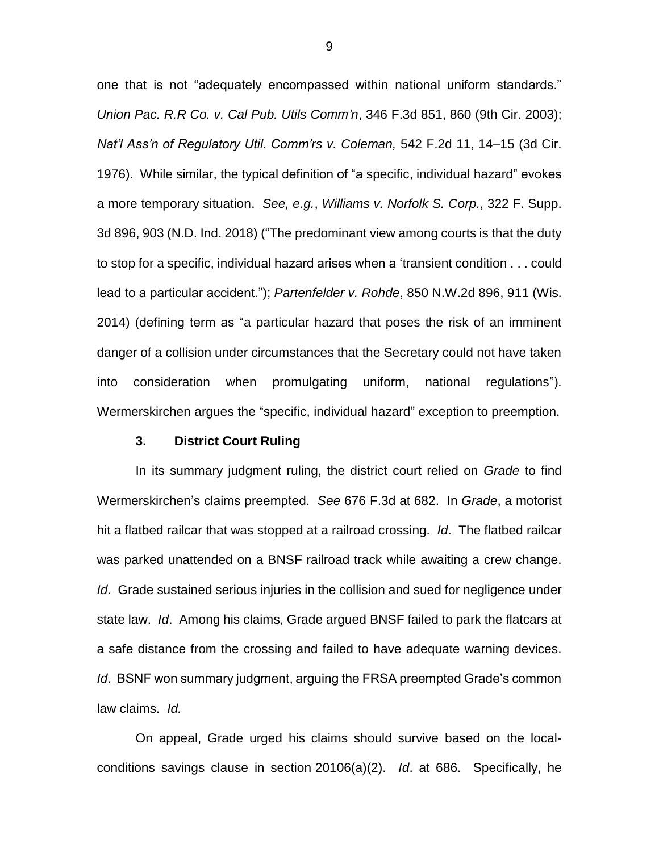one that is not "adequately encompassed within national uniform standards." *Union Pac. R.R Co. v. Cal Pub. Utils Comm'n*, 346 F.3d 851, 860 (9th Cir. 2003); *Nat'l Ass'n of Regulatory Util. Comm'rs v. Coleman,* 542 F.2d 11, 14–15 (3d Cir. 1976). While similar, the typical definition of "a specific, individual hazard" evokes a more temporary situation. *See, e.g.*, *Williams v. Norfolk S. Corp.*, 322 F. Supp. 3d 896, 903 (N.D. Ind. 2018) ("The predominant view among courts is that the duty to stop for a specific, individual hazard arises when a 'transient condition . . . could lead to a particular accident."); *Partenfelder v. Rohde*, 850 N.W.2d 896, 911 (Wis. 2014) (defining term as "a particular hazard that poses the risk of an imminent danger of a collision under circumstances that the Secretary could not have taken into consideration when promulgating uniform, national regulations"). Wermerskirchen argues the "specific, individual hazard" exception to preemption.

### **3. District Court Ruling**

In its summary judgment ruling, the district court relied on *Grade* to find Wermerskirchen's claims preempted. *See* 676 F.3d at 682. In *Grade*, a motorist hit a flatbed railcar that was stopped at a railroad crossing. *Id*. The flatbed railcar was parked unattended on a BNSF railroad track while awaiting a crew change. *Id*. Grade sustained serious injuries in the collision and sued for negligence under state law. *Id*. Among his claims, Grade argued BNSF failed to park the flatcars at a safe distance from the crossing and failed to have adequate warning devices. *Id*. BSNF won summary judgment, arguing the FRSA preempted Grade's common law claims. *Id.*

On appeal, Grade urged his claims should survive based on the localconditions savings clause in section 20106(a)(2). *Id*. at 686. Specifically, he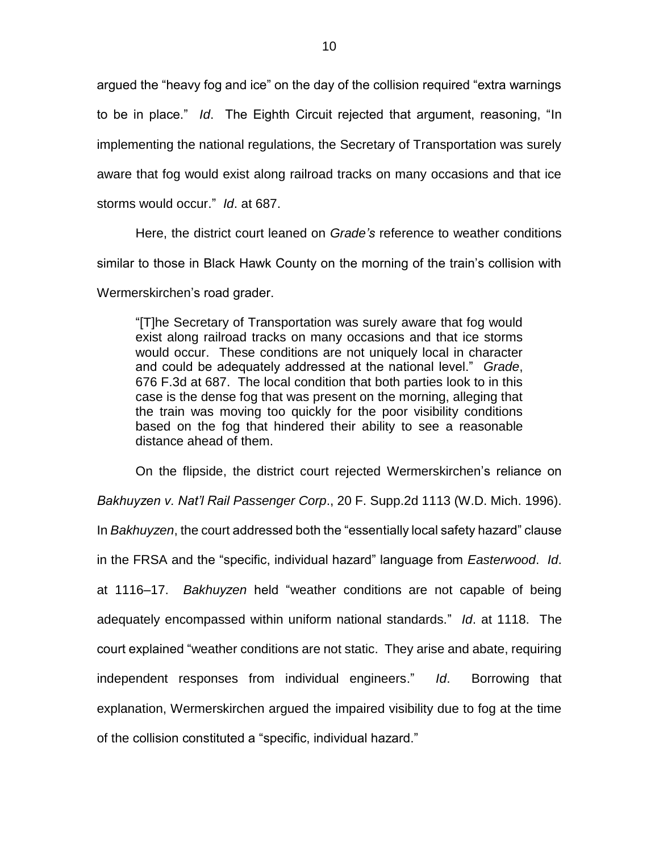argued the "heavy fog and ice" on the day of the collision required "extra warnings to be in place." *Id*. The Eighth Circuit rejected that argument, reasoning, "In implementing the national regulations, the Secretary of Transportation was surely aware that fog would exist along railroad tracks on many occasions and that ice storms would occur." *Id*. at 687.

Here, the district court leaned on *Grade's* reference to weather conditions similar to those in Black Hawk County on the morning of the train's collision with

Wermerskirchen's road grader.

"[T]he Secretary of Transportation was surely aware that fog would exist along railroad tracks on many occasions and that ice storms would occur. These conditions are not uniquely local in character and could be adequately addressed at the national level." *Grade*, 676 F.3d at 687. The local condition that both parties look to in this case is the dense fog that was present on the morning, alleging that the train was moving too quickly for the poor visibility conditions based on the fog that hindered their ability to see a reasonable distance ahead of them.

On the flipside, the district court rejected Wermerskirchen's reliance on *Bakhuyzen v. Nat'l Rail Passenger Corp*., 20 F. Supp.2d 1113 (W.D. Mich. 1996). In *Bakhuyzen*, the court addressed both the "essentially local safety hazard" clause in the FRSA and the "specific, individual hazard" language from *Easterwood*. *Id*. at 1116–17. *Bakhuyzen* held "weather conditions are not capable of being adequately encompassed within uniform national standards." *Id*. at 1118. The court explained "weather conditions are not static. They arise and abate, requiring independent responses from individual engineers." *Id*. Borrowing that explanation, Wermerskirchen argued the impaired visibility due to fog at the time of the collision constituted a "specific, individual hazard."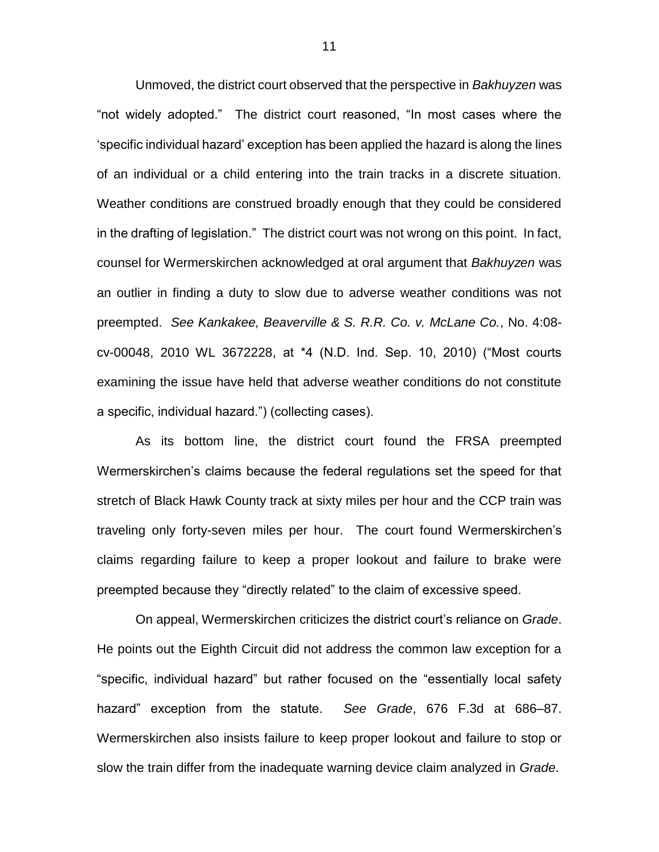Unmoved, the district court observed that the perspective in *Bakhuyzen* was "not widely adopted." The district court reasoned, "In most cases where the 'specific individual hazard' exception has been applied the hazard is along the lines of an individual or a child entering into the train tracks in a discrete situation. Weather conditions are construed broadly enough that they could be considered in the drafting of legislation." The district court was not wrong on this point. In fact, counsel for Wermerskirchen acknowledged at oral argument that *Bakhuyzen* was an outlier in finding a duty to slow due to adverse weather conditions was not preempted. *See Kankakee, Beaverville & S. R.R. Co. v. McLane Co.*, No. 4:08 cv-00048, 2010 WL 3672228, at \*4 (N.D. Ind. Sep. 10, 2010) ("Most courts examining the issue have held that adverse weather conditions do not constitute a specific, individual hazard.") (collecting cases).

As its bottom line, the district court found the FRSA preempted Wermerskirchen's claims because the federal regulations set the speed for that stretch of Black Hawk County track at sixty miles per hour and the CCP train was traveling only forty-seven miles per hour. The court found Wermerskirchen's claims regarding failure to keep a proper lookout and failure to brake were preempted because they "directly related" to the claim of excessive speed.

On appeal, Wermerskirchen criticizes the district court's reliance on *Grade*. He points out the Eighth Circuit did not address the common law exception for a "specific, individual hazard" but rather focused on the "essentially local safety hazard" exception from the statute. *See Grade*, 676 F.3d at 686–87. Wermerskirchen also insists failure to keep proper lookout and failure to stop or slow the train differ from the inadequate warning device claim analyzed in *Grade*.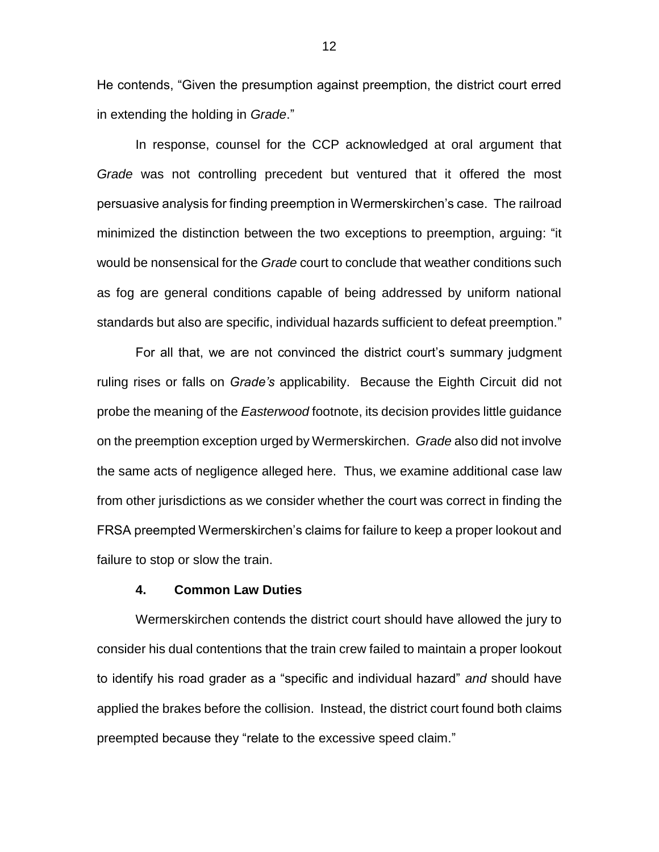He contends, "Given the presumption against preemption, the district court erred in extending the holding in *Grade*."

In response, counsel for the CCP acknowledged at oral argument that *Grade* was not controlling precedent but ventured that it offered the most persuasive analysis for finding preemption in Wermerskirchen's case. The railroad minimized the distinction between the two exceptions to preemption, arguing: "it would be nonsensical for the *Grade* court to conclude that weather conditions such as fog are general conditions capable of being addressed by uniform national standards but also are specific, individual hazards sufficient to defeat preemption."

For all that, we are not convinced the district court's summary judgment ruling rises or falls on *Grade's* applicability. Because the Eighth Circuit did not probe the meaning of the *Easterwood* footnote, its decision provides little guidance on the preemption exception urged by Wermerskirchen. *Grade* also did not involve the same acts of negligence alleged here. Thus, we examine additional case law from other jurisdictions as we consider whether the court was correct in finding the FRSA preempted Wermerskirchen's claims for failure to keep a proper lookout and failure to stop or slow the train.

#### **4. Common Law Duties**

Wermerskirchen contends the district court should have allowed the jury to consider his dual contentions that the train crew failed to maintain a proper lookout to identify his road grader as a "specific and individual hazard" *and* should have applied the brakes before the collision. Instead, the district court found both claims preempted because they "relate to the excessive speed claim."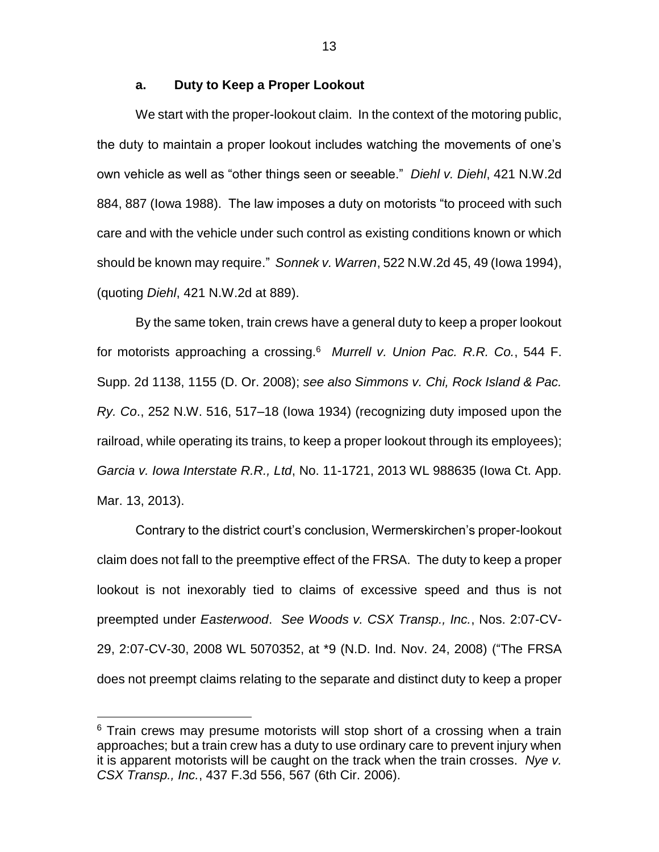#### **a. Duty to Keep a Proper Lookout**

We start with the proper-lookout claim. In the context of the motoring public, the duty to maintain a proper lookout includes watching the movements of one's own vehicle as well as "other things seen or seeable." *Diehl v. Diehl*, 421 N.W.2d 884, 887 (Iowa 1988). The law imposes a duty on motorists "to proceed with such care and with the vehicle under such control as existing conditions known or which should be known may require." *Sonnek v. Warren*, 522 N.W.2d 45, 49 (Iowa 1994), (quoting *Diehl*, 421 N.W.2d at 889).

By the same token, train crews have a general duty to keep a proper lookout for motorists approaching a crossing.<sup>6</sup> *Murrell v. Union Pac. R.R. Co.*, 544 F. Supp. 2d 1138, 1155 (D. Or. 2008); *see also Simmons v. Chi, Rock Island & Pac. Ry. Co*., 252 N.W. 516, 517–18 (Iowa 1934) (recognizing duty imposed upon the railroad, while operating its trains, to keep a proper lookout through its employees); *Garcia v. Iowa Interstate R.R., Ltd*, No. 11-1721, 2013 WL 988635 (Iowa Ct. App. Mar. 13, 2013).

Contrary to the district court's conclusion, Wermerskirchen's proper-lookout claim does not fall to the preemptive effect of the FRSA. The duty to keep a proper lookout is not inexorably tied to claims of excessive speed and thus is not preempted under *Easterwood*. *See Woods v. CSX Transp., Inc.*, Nos. 2:07-CV-29, 2:07-CV-30, 2008 WL 5070352, at \*9 (N.D. Ind. Nov. 24, 2008) ("The FRSA does not preempt claims relating to the separate and distinct duty to keep a proper

 $\overline{a}$ 

 $6$  Train crews may presume motorists will stop short of a crossing when a train approaches; but a train crew has a duty to use ordinary care to prevent injury when it is apparent motorists will be caught on the track when the train crosses. *Nye v. CSX Transp., Inc.*, 437 F.3d 556, 567 (6th Cir. 2006).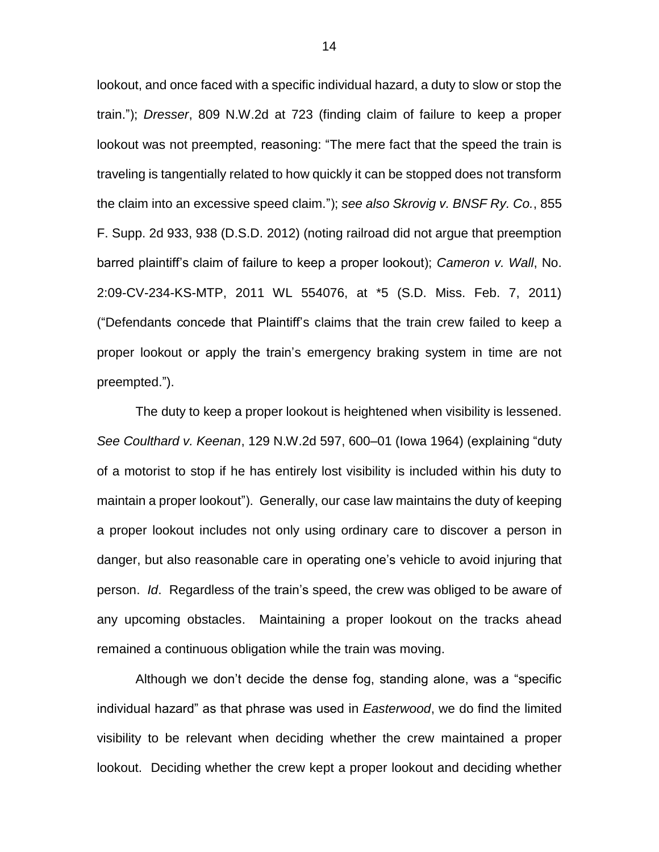lookout, and once faced with a specific individual hazard, a duty to slow or stop the train."); *Dresser*, 809 N.W.2d at 723 (finding claim of failure to keep a proper lookout was not preempted, reasoning: "The mere fact that the speed the train is traveling is tangentially related to how quickly it can be stopped does not transform the claim into an excessive speed claim."); *see also Skrovig v. BNSF Ry. Co.*, 855 F. Supp. 2d 933, 938 (D.S.D. 2012) (noting railroad did not argue that preemption barred plaintiff's claim of failure to keep a proper lookout); *Cameron v. Wall*, No. 2:09-CV-234-KS-MTP, 2011 WL 554076, at \*5 (S.D. Miss. Feb. 7, 2011) ("Defendants concede that Plaintiff's claims that the train crew failed to keep a proper lookout or apply the train's emergency braking system in time are not preempted.").

The duty to keep a proper lookout is heightened when visibility is lessened. *See Coulthard v. Keenan*, 129 N.W.2d 597, 600–01 (Iowa 1964) (explaining "duty of a motorist to stop if he has entirely lost visibility is included within his duty to maintain a proper lookout"). Generally, our case law maintains the duty of keeping a proper lookout includes not only using ordinary care to discover a person in danger, but also reasonable care in operating one's vehicle to avoid injuring that person. *Id*. Regardless of the train's speed, the crew was obliged to be aware of any upcoming obstacles. Maintaining a proper lookout on the tracks ahead remained a continuous obligation while the train was moving.

Although we don't decide the dense fog, standing alone, was a "specific individual hazard" as that phrase was used in *Easterwood*, we do find the limited visibility to be relevant when deciding whether the crew maintained a proper lookout. Deciding whether the crew kept a proper lookout and deciding whether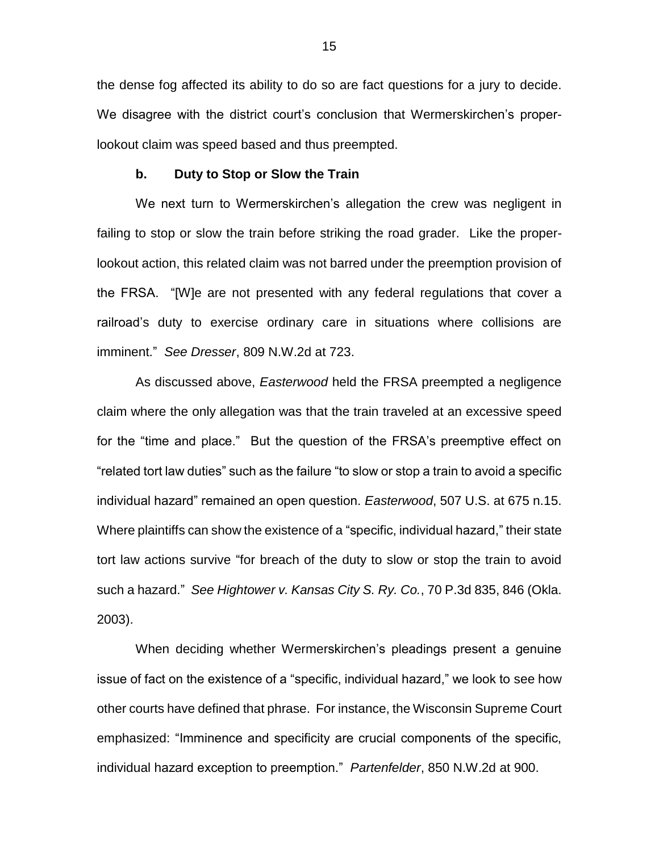the dense fog affected its ability to do so are fact questions for a jury to decide. We disagree with the district court's conclusion that Wermerskirchen's properlookout claim was speed based and thus preempted.

#### **b. Duty to Stop or Slow the Train**

We next turn to Wermerskirchen's allegation the crew was negligent in failing to stop or slow the train before striking the road grader. Like the properlookout action, this related claim was not barred under the preemption provision of the FRSA. "[W]e are not presented with any federal regulations that cover a railroad's duty to exercise ordinary care in situations where collisions are imminent." *See Dresser*, 809 N.W.2d at 723.

As discussed above, *Easterwood* held the FRSA preempted a negligence claim where the only allegation was that the train traveled at an excessive speed for the "time and place." But the question of the FRSA's preemptive effect on "related tort law duties" such as the failure "to slow or stop a train to avoid a specific individual hazard" remained an open question. *Easterwood*, 507 U.S. at 675 n.15. Where plaintiffs can show the existence of a "specific, individual hazard," their state tort law actions survive "for breach of the duty to slow or stop the train to avoid such a hazard." *See Hightower v. Kansas City S. Ry. Co.*, 70 P.3d 835, 846 (Okla. 2003).

When deciding whether Wermerskirchen's pleadings present a genuine issue of fact on the existence of a "specific, individual hazard," we look to see how other courts have defined that phrase. For instance, the Wisconsin Supreme Court emphasized: "Imminence and specificity are crucial components of the specific, individual hazard exception to preemption." *Partenfelder*, 850 N.W.2d at 900.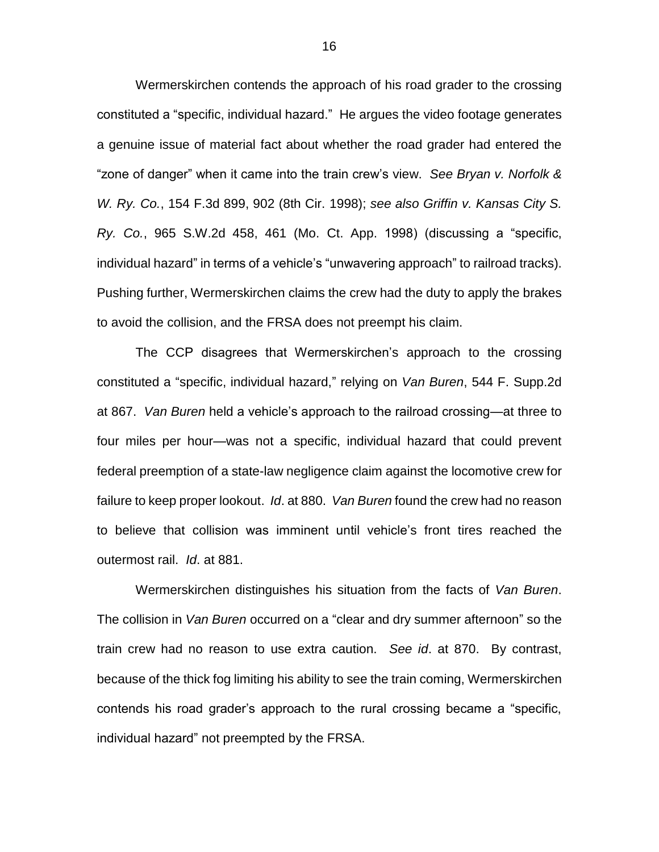Wermerskirchen contends the approach of his road grader to the crossing constituted a "specific, individual hazard." He argues the video footage generates a genuine issue of material fact about whether the road grader had entered the "zone of danger" when it came into the train crew's view. *See Bryan v. Norfolk & W. Ry. Co.*, 154 F.3d 899, 902 (8th Cir. 1998); *see also Griffin v. Kansas City S. Ry. Co.*, 965 S.W.2d 458, 461 (Mo. Ct. App. 1998) (discussing a "specific, individual hazard" in terms of a vehicle's "unwavering approach" to railroad tracks). Pushing further, Wermerskirchen claims the crew had the duty to apply the brakes to avoid the collision, and the FRSA does not preempt his claim.

The CCP disagrees that Wermerskirchen's approach to the crossing constituted a "specific, individual hazard," relying on *Van Buren*, 544 F. Supp.2d at 867. *Van Buren* held a vehicle's approach to the railroad crossing—at three to four miles per hour—was not a specific, individual hazard that could prevent federal preemption of a state-law negligence claim against the locomotive crew for failure to keep proper lookout. *Id*. at 880. *Van Buren* found the crew had no reason to believe that collision was imminent until vehicle's front tires reached the outermost rail. *Id*. at 881.

Wermerskirchen distinguishes his situation from the facts of *Van Buren*. The collision in *Van Buren* occurred on a "clear and dry summer afternoon" so the train crew had no reason to use extra caution. *See id*. at 870. By contrast, because of the thick fog limiting his ability to see the train coming, Wermerskirchen contends his road grader's approach to the rural crossing became a "specific, individual hazard" not preempted by the FRSA.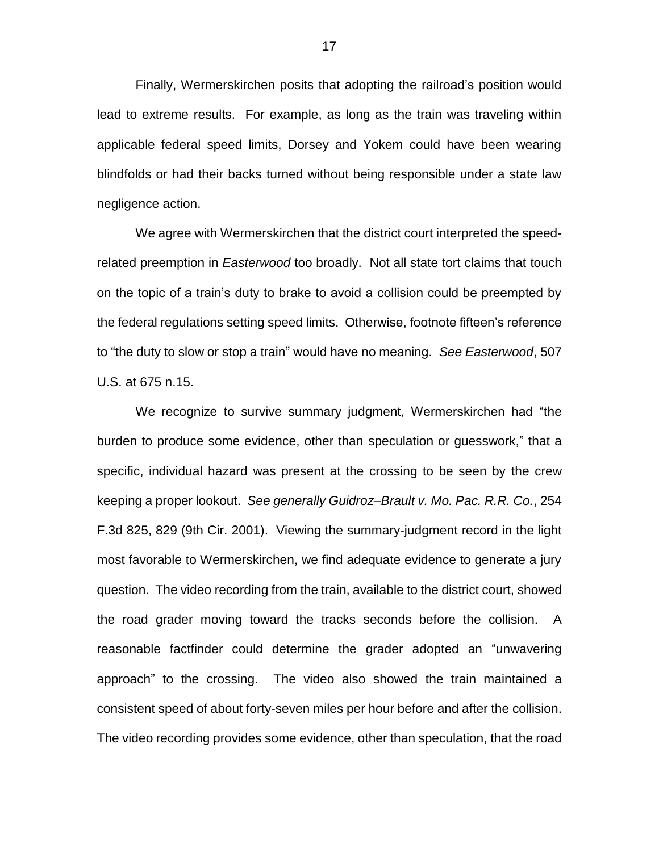Finally, Wermerskirchen posits that adopting the railroad's position would lead to extreme results. For example, as long as the train was traveling within applicable federal speed limits, Dorsey and Yokem could have been wearing blindfolds or had their backs turned without being responsible under a state law negligence action.

We agree with Wermerskirchen that the district court interpreted the speedrelated preemption in *Easterwood* too broadly. Not all state tort claims that touch on the topic of a train's duty to brake to avoid a collision could be preempted by the federal regulations setting speed limits. Otherwise, footnote fifteen's reference to "the duty to slow or stop a train" would have no meaning. *See Easterwood*, 507 U.S. at 675 n.15.

We recognize to survive summary judgment, Wermerskirchen had "the burden to produce some evidence, other than speculation or guesswork," that a specific, individual hazard was present at the crossing to be seen by the crew keeping a proper lookout. *See generally Guidroz–Brault v. Mo. Pac. R.R. Co.*, 254 F.3d 825, 829 (9th Cir. 2001). Viewing the summary-judgment record in the light most favorable to Wermerskirchen, we find adequate evidence to generate a jury question. The video recording from the train, available to the district court, showed the road grader moving toward the tracks seconds before the collision. A reasonable factfinder could determine the grader adopted an "unwavering approach" to the crossing. The video also showed the train maintained a consistent speed of about forty-seven miles per hour before and after the collision. The video recording provides some evidence, other than speculation, that the road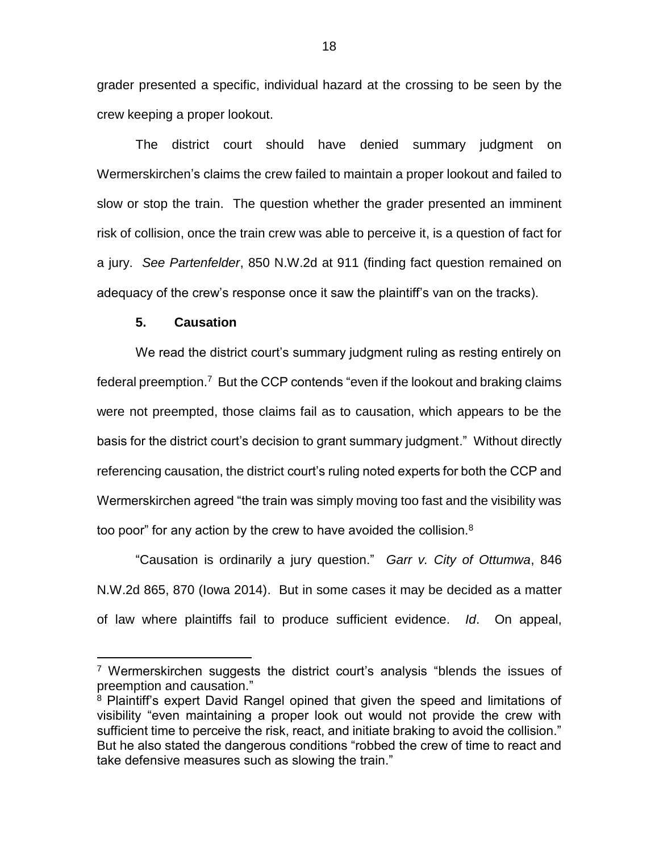grader presented a specific, individual hazard at the crossing to be seen by the crew keeping a proper lookout.

The district court should have denied summary judgment on Wermerskirchen's claims the crew failed to maintain a proper lookout and failed to slow or stop the train. The question whether the grader presented an imminent risk of collision, once the train crew was able to perceive it, is a question of fact for a jury. *See Partenfelder*, 850 N.W.2d at 911 (finding fact question remained on adequacy of the crew's response once it saw the plaintiff's van on the tracks).

### **5. Causation**

 $\overline{a}$ 

We read the district court's summary judgment ruling as resting entirely on federal preemption.<sup>7</sup> But the CCP contends "even if the lookout and braking claims were not preempted, those claims fail as to causation, which appears to be the basis for the district court's decision to grant summary judgment." Without directly referencing causation, the district court's ruling noted experts for both the CCP and Wermerskirchen agreed "the train was simply moving too fast and the visibility was too poor" for any action by the crew to have avoided the collision. $8$ 

"Causation is ordinarily a jury question." *Garr v. City of Ottumwa*, 846 N.W.2d 865, 870 (Iowa 2014). But in some cases it may be decided as a matter of law where plaintiffs fail to produce sufficient evidence. *Id*. On appeal,

<sup>&</sup>lt;sup>7</sup> Wermerskirchen suggests the district court's analysis "blends the issues of preemption and causation."

<sup>8</sup> Plaintiff's expert David Rangel opined that given the speed and limitations of visibility "even maintaining a proper look out would not provide the crew with sufficient time to perceive the risk, react, and initiate braking to avoid the collision." But he also stated the dangerous conditions "robbed the crew of time to react and take defensive measures such as slowing the train."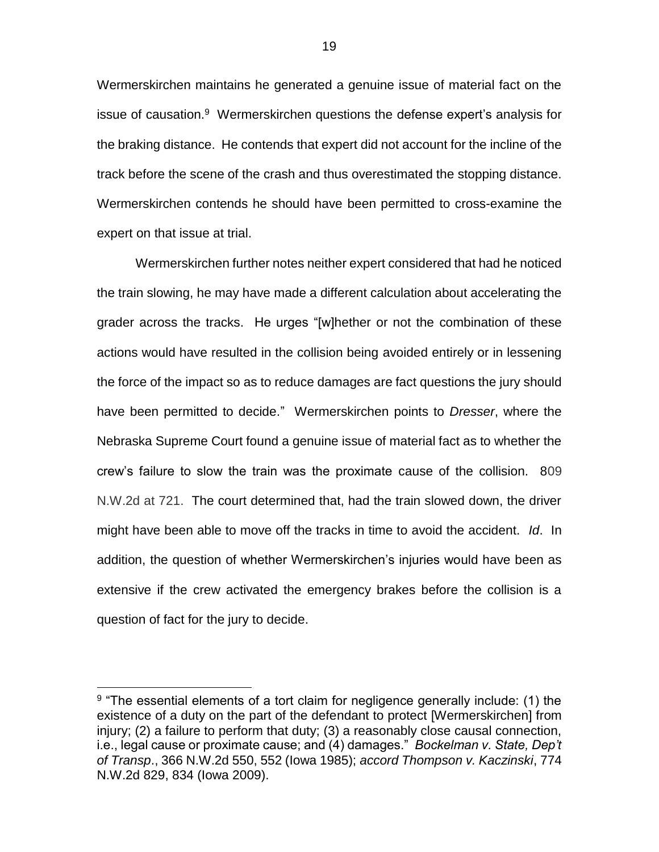Wermerskirchen maintains he generated a genuine issue of material fact on the issue of causation.<sup>9</sup> Wermerskirchen questions the defense expert's analysis for the braking distance. He contends that expert did not account for the incline of the track before the scene of the crash and thus overestimated the stopping distance. Wermerskirchen contends he should have been permitted to cross-examine the expert on that issue at trial.

Wermerskirchen further notes neither expert considered that had he noticed the train slowing, he may have made a different calculation about accelerating the grader across the tracks. He urges "[w]hether or not the combination of these actions would have resulted in the collision being avoided entirely or in lessening the force of the impact so as to reduce damages are fact questions the jury should have been permitted to decide." Wermerskirchen points to *Dresser*, where the Nebraska Supreme Court found a genuine issue of material fact as to whether the crew's failure to slow the train was the proximate cause of the collision. 809 N.W.2d at 721. The court determined that, had the train slowed down, the driver might have been able to move off the tracks in time to avoid the accident. *Id*. In addition, the question of whether Wermerskirchen's injuries would have been as extensive if the crew activated the emergency brakes before the collision is a question of fact for the jury to decide.

 $\overline{a}$ 

<sup>&</sup>lt;sup>9</sup> "The essential elements of a tort claim for negligence generally include: (1) the existence of a duty on the part of the defendant to protect [Wermerskirchen] from injury; (2) a failure to perform that duty; (3) a reasonably close causal connection, i.e., legal cause or proximate cause; and (4) damages." *Bockelman v. State, Dep't of Transp*., 366 N.W.2d 550, 552 (Iowa 1985); *accord Thompson v. Kaczinski*, 774 N.W.2d 829, 834 (Iowa 2009).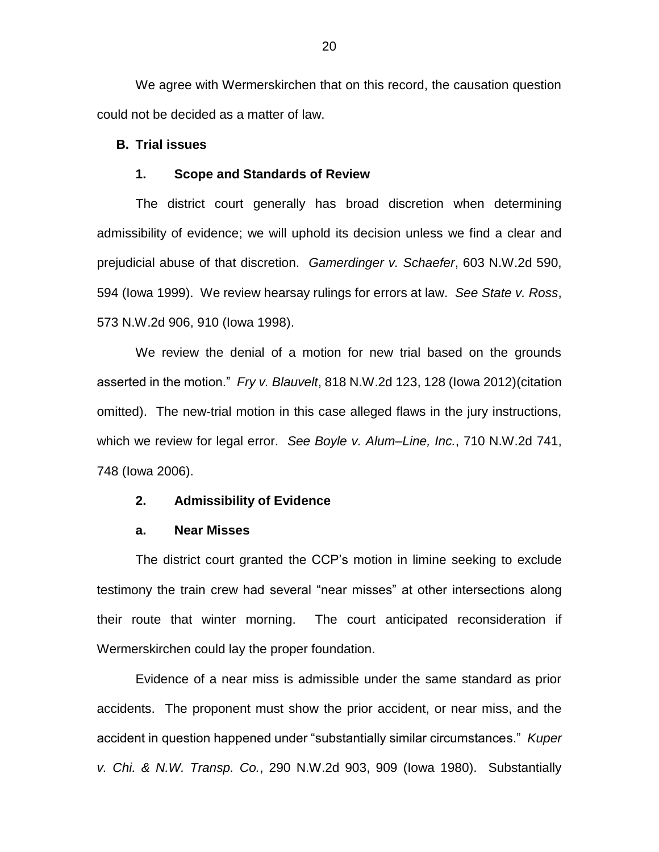We agree with Wermerskirchen that on this record, the causation question could not be decided as a matter of law.

### **B. Trial issues**

#### **1. Scope and Standards of Review**

The district court generally has broad discretion when determining admissibility of evidence; we will uphold its decision unless we find a clear and prejudicial abuse of that discretion. *Gamerdinger v. Schaefer*, 603 N.W.2d 590, 594 (Iowa 1999). We review hearsay rulings for errors at law. *See State v. Ross*, 573 N.W.2d 906, 910 (Iowa 1998).

We review the denial of a motion for new trial based on the grounds asserted in the motion." *Fry v. Blauvelt*, 818 N.W.2d 123, 128 (Iowa 2012)(citation omitted). The new-trial motion in this case alleged flaws in the jury instructions, which we review for legal error. *See Boyle v. Alum–Line, Inc.*, 710 N.W.2d 741, 748 (Iowa 2006).

#### **2. Admissibility of Evidence**

### **a. Near Misses**

The district court granted the CCP's motion in limine seeking to exclude testimony the train crew had several "near misses" at other intersections along their route that winter morning. The court anticipated reconsideration if Wermerskirchen could lay the proper foundation.

Evidence of a near miss is admissible under the same standard as prior accidents. The proponent must show the prior accident, or near miss, and the accident in question happened under "substantially similar circumstances." *Kuper v. Chi. & N.W. Transp. Co.*, 290 N.W.2d 903, 909 (Iowa 1980). Substantially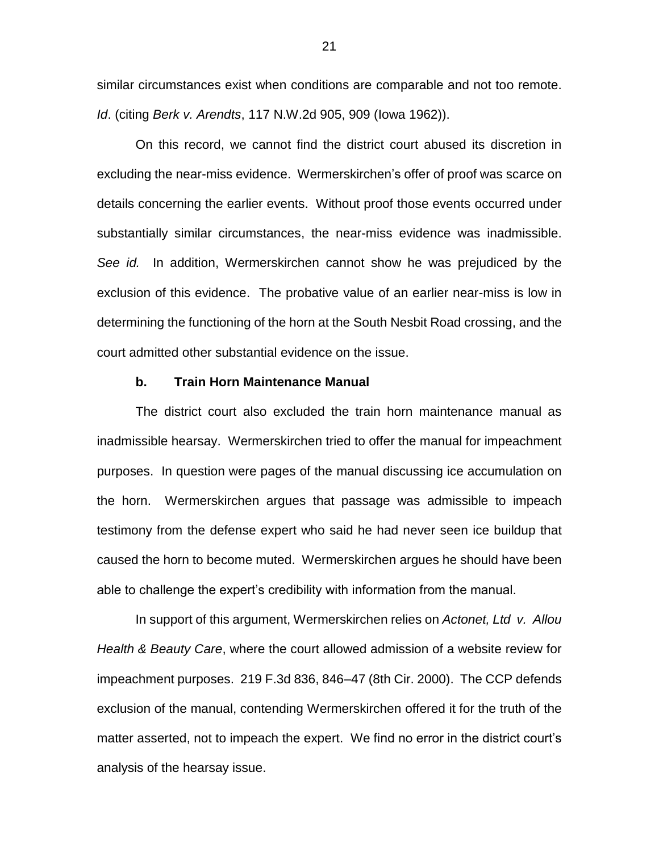similar circumstances exist when conditions are comparable and not too remote. *Id*. (citing *Berk v. Arendts*, 117 N.W.2d 905, 909 (Iowa 1962)).

On this record, we cannot find the district court abused its discretion in excluding the near-miss evidence. Wermerskirchen's offer of proof was scarce on details concerning the earlier events. Without proof those events occurred under substantially similar circumstances, the near-miss evidence was inadmissible. *See id.* In addition, Wermerskirchen cannot show he was prejudiced by the exclusion of this evidence. The probative value of an earlier near-miss is low in determining the functioning of the horn at the South Nesbit Road crossing, and the court admitted other substantial evidence on the issue.

#### **b. Train Horn Maintenance Manual**

The district court also excluded the train horn maintenance manual as inadmissible hearsay. Wermerskirchen tried to offer the manual for impeachment purposes. In question were pages of the manual discussing ice accumulation on the horn. Wermerskirchen argues that passage was admissible to impeach testimony from the defense expert who said he had never seen ice buildup that caused the horn to become muted. Wermerskirchen argues he should have been able to challenge the expert's credibility with information from the manual.

In support of this argument, Wermerskirchen relies on *Actonet, Ltd v. Allou Health & Beauty Care*, where the court allowed admission of a website review for impeachment purposes. 219 F.3d 836, 846–47 (8th Cir. 2000). The CCP defends exclusion of the manual, contending Wermerskirchen offered it for the truth of the matter asserted, not to impeach the expert. We find no error in the district court's analysis of the hearsay issue.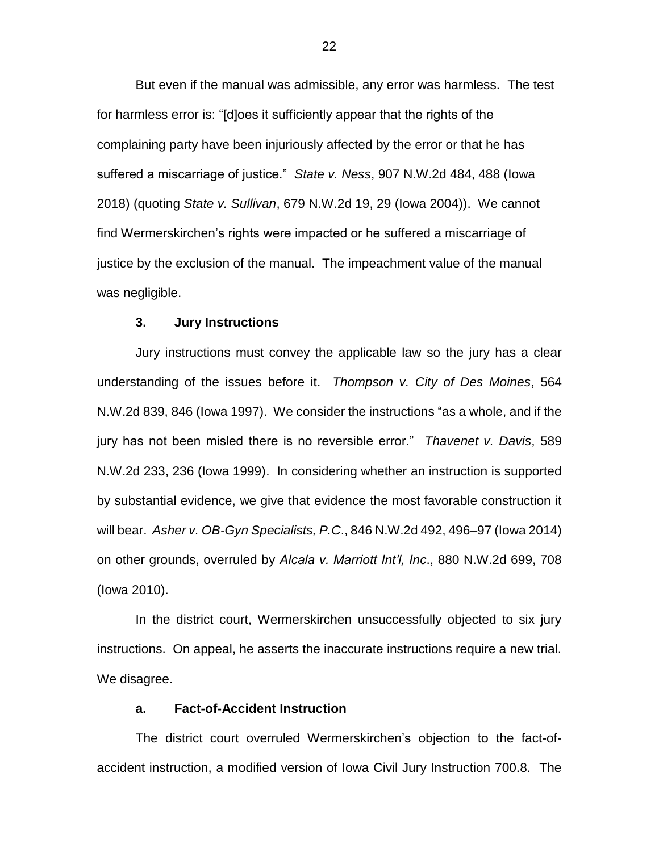But even if the manual was admissible, any error was harmless. The test for harmless error is: "[d]oes it sufficiently appear that the rights of the complaining party have been injuriously affected by the error or that he has suffered a miscarriage of justice." *State v. Ness*, 907 N.W.2d 484, 488 (Iowa 2018) (quoting *State v. Sullivan*, 679 N.W.2d 19, 29 (Iowa 2004)). We cannot find Wermerskirchen's rights were impacted or he suffered a miscarriage of justice by the exclusion of the manual. The impeachment value of the manual was negligible.

#### **3. Jury Instructions**

Jury instructions must convey the applicable law so the jury has a clear understanding of the issues before it. *Thompson v. City of Des Moines*, 564 N.W.2d 839, 846 (Iowa 1997). We consider the instructions "as a whole, and if the jury has not been misled there is no reversible error." *Thavenet v. Davis*, 589 N.W.2d 233, 236 (Iowa 1999). In considering whether an instruction is supported by substantial evidence, we give that evidence the most favorable construction it will bear. *Asher v. OB-Gyn Specialists, P.C*., 846 N.W.2d 492, 496–97 (Iowa 2014) on other grounds, overruled by *Alcala v. Marriott Int'l, Inc*., 880 N.W.2d 699, 708 (Iowa 2010).

In the district court, Wermerskirchen unsuccessfully objected to six jury instructions. On appeal, he asserts the inaccurate instructions require a new trial. We disagree.

# **a. Fact-of-Accident Instruction**

The district court overruled Wermerskirchen's objection to the fact-ofaccident instruction, a modified version of Iowa Civil Jury Instruction 700.8. The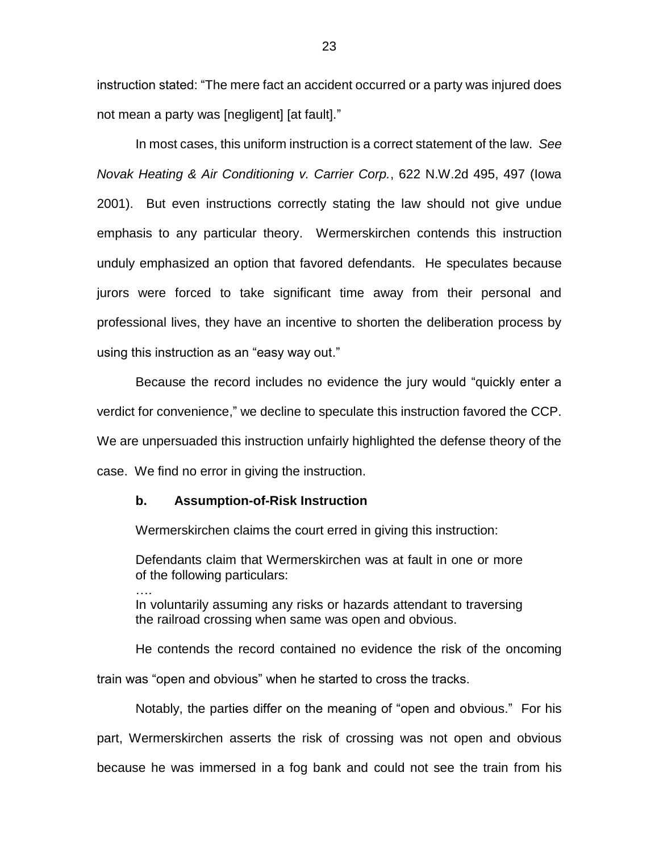instruction stated: "The mere fact an accident occurred or a party was injured does not mean a party was [negligent] [at fault]."

In most cases, this uniform instruction is a correct statement of the law. *See Novak Heating & Air Conditioning v. Carrier Corp.*, 622 N.W.2d 495, 497 (Iowa 2001). But even instructions correctly stating the law should not give undue emphasis to any particular theory. Wermerskirchen contends this instruction unduly emphasized an option that favored defendants. He speculates because jurors were forced to take significant time away from their personal and professional lives, they have an incentive to shorten the deliberation process by using this instruction as an "easy way out."

Because the record includes no evidence the jury would "quickly enter a verdict for convenience," we decline to speculate this instruction favored the CCP. We are unpersuaded this instruction unfairly highlighted the defense theory of the case. We find no error in giving the instruction.

#### **b. Assumption-of-Risk Instruction**

….

Wermerskirchen claims the court erred in giving this instruction:

Defendants claim that Wermerskirchen was at fault in one or more of the following particulars:

In voluntarily assuming any risks or hazards attendant to traversing the railroad crossing when same was open and obvious.

He contends the record contained no evidence the risk of the oncoming train was "open and obvious" when he started to cross the tracks.

Notably, the parties differ on the meaning of "open and obvious." For his part, Wermerskirchen asserts the risk of crossing was not open and obvious because he was immersed in a fog bank and could not see the train from his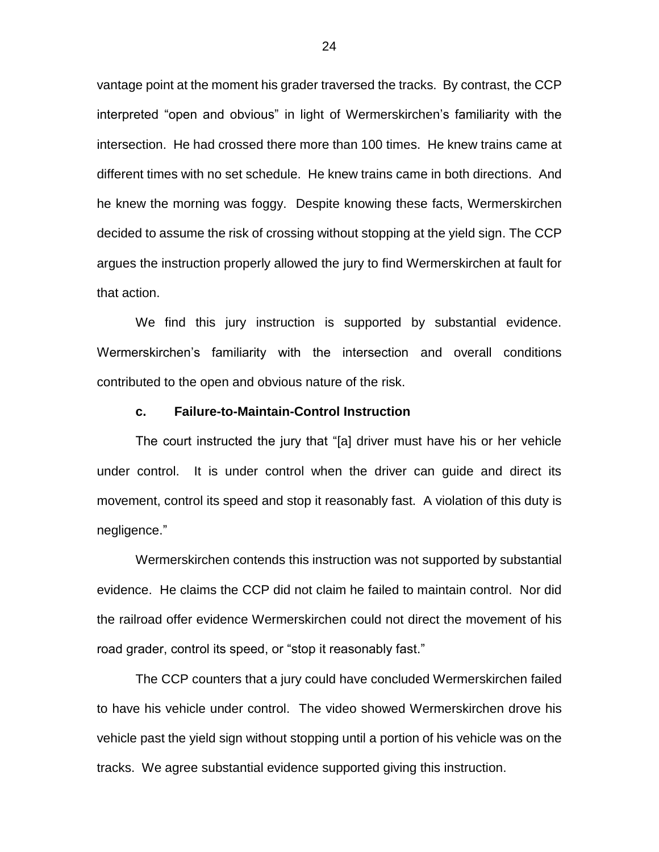vantage point at the moment his grader traversed the tracks. By contrast, the CCP interpreted "open and obvious" in light of Wermerskirchen's familiarity with the intersection. He had crossed there more than 100 times. He knew trains came at different times with no set schedule. He knew trains came in both directions. And he knew the morning was foggy. Despite knowing these facts, Wermerskirchen decided to assume the risk of crossing without stopping at the yield sign. The CCP argues the instruction properly allowed the jury to find Wermerskirchen at fault for that action.

We find this jury instruction is supported by substantial evidence. Wermerskirchen's familiarity with the intersection and overall conditions contributed to the open and obvious nature of the risk.

#### **c. Failure-to-Maintain-Control Instruction**

The court instructed the jury that "[a] driver must have his or her vehicle under control. It is under control when the driver can guide and direct its movement, control its speed and stop it reasonably fast. A violation of this duty is negligence."

Wermerskirchen contends this instruction was not supported by substantial evidence. He claims the CCP did not claim he failed to maintain control. Nor did the railroad offer evidence Wermerskirchen could not direct the movement of his road grader, control its speed, or "stop it reasonably fast."

The CCP counters that a jury could have concluded Wermerskirchen failed to have his vehicle under control. The video showed Wermerskirchen drove his vehicle past the yield sign without stopping until a portion of his vehicle was on the tracks. We agree substantial evidence supported giving this instruction.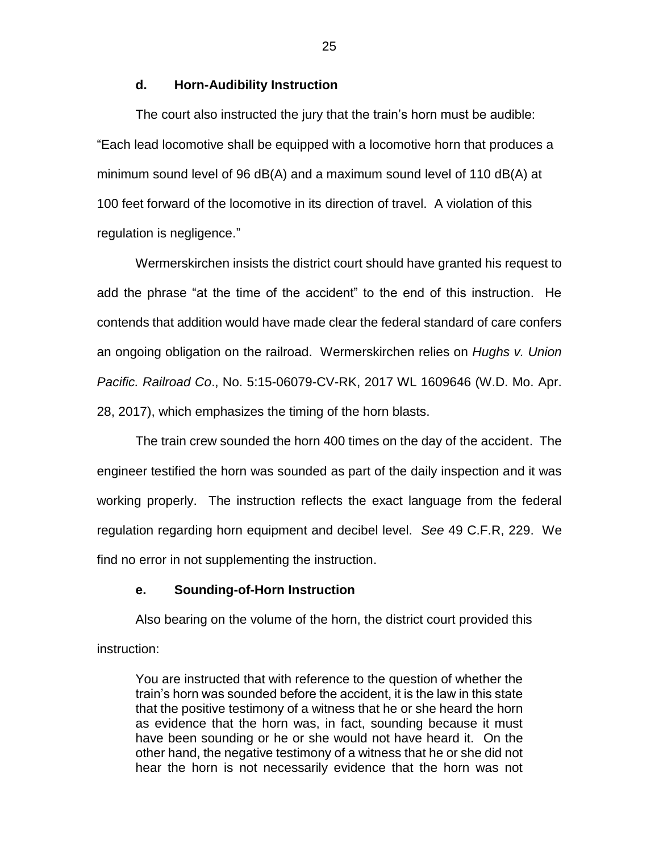### **d. Horn-Audibility Instruction**

The court also instructed the jury that the train's horn must be audible: "Each lead locomotive shall be equipped with a locomotive horn that produces a minimum sound level of 96 dB(A) and a maximum sound level of 110 dB(A) at 100 feet forward of the locomotive in its direction of travel. A violation of this regulation is negligence."

Wermerskirchen insists the district court should have granted his request to add the phrase "at the time of the accident" to the end of this instruction. He contends that addition would have made clear the federal standard of care confers an ongoing obligation on the railroad. Wermerskirchen relies on *Hughs v. Union Pacific. Railroad Co*., No. 5:15-06079-CV-RK, 2017 WL 1609646 (W.D. Mo. Apr. 28, 2017), which emphasizes the timing of the horn blasts.

The train crew sounded the horn 400 times on the day of the accident. The engineer testified the horn was sounded as part of the daily inspection and it was working properly. The instruction reflects the exact language from the federal regulation regarding horn equipment and decibel level. *See* 49 C.F.R, 229. We find no error in not supplementing the instruction.

# **e. Sounding-of-Horn Instruction**

Also bearing on the volume of the horn, the district court provided this instruction:

You are instructed that with reference to the question of whether the train's horn was sounded before the accident, it is the law in this state that the positive testimony of a witness that he or she heard the horn as evidence that the horn was, in fact, sounding because it must have been sounding or he or she would not have heard it. On the other hand, the negative testimony of a witness that he or she did not hear the horn is not necessarily evidence that the horn was not

25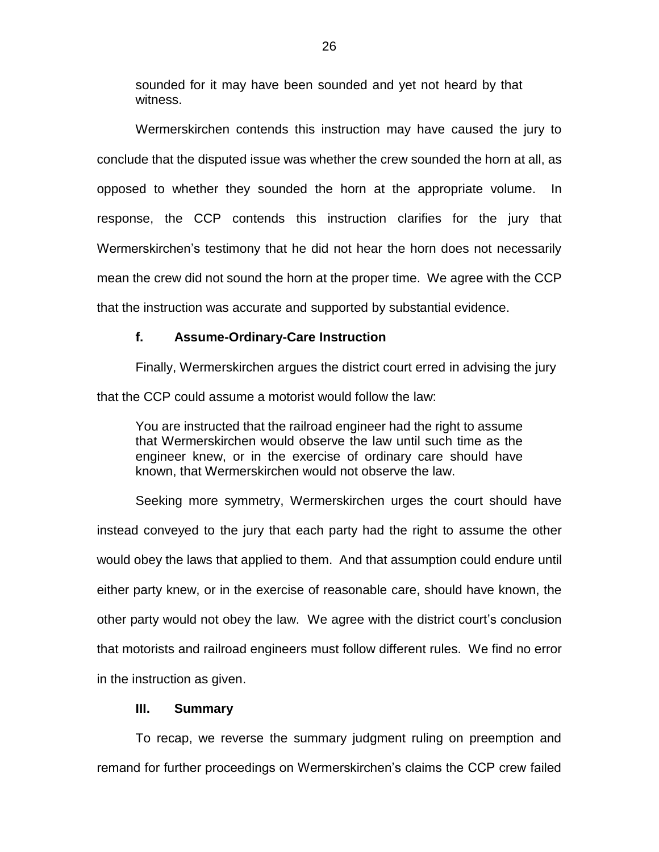sounded for it may have been sounded and yet not heard by that witness.

Wermerskirchen contends this instruction may have caused the jury to conclude that the disputed issue was whether the crew sounded the horn at all, as opposed to whether they sounded the horn at the appropriate volume. In response, the CCP contends this instruction clarifies for the jury that Wermerskirchen's testimony that he did not hear the horn does not necessarily mean the crew did not sound the horn at the proper time. We agree with the CCP that the instruction was accurate and supported by substantial evidence.

### **f. Assume-Ordinary-Care Instruction**

Finally, Wermerskirchen argues the district court erred in advising the jury that the CCP could assume a motorist would follow the law:

You are instructed that the railroad engineer had the right to assume that Wermerskirchen would observe the law until such time as the engineer knew, or in the exercise of ordinary care should have known, that Wermerskirchen would not observe the law.

Seeking more symmetry, Wermerskirchen urges the court should have instead conveyed to the jury that each party had the right to assume the other would obey the laws that applied to them. And that assumption could endure until either party knew, or in the exercise of reasonable care, should have known, the other party would not obey the law. We agree with the district court's conclusion that motorists and railroad engineers must follow different rules. We find no error in the instruction as given.

### **III. Summary**

To recap, we reverse the summary judgment ruling on preemption and remand for further proceedings on Wermerskirchen's claims the CCP crew failed